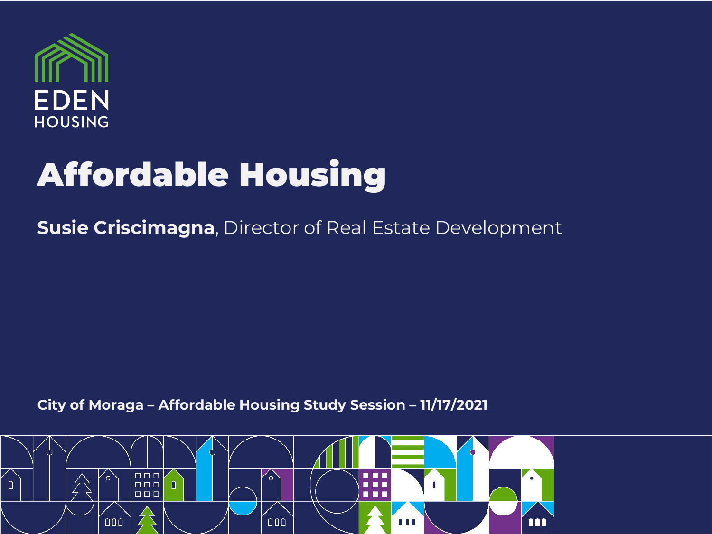

# Affordable Housing

**Susie Criscimagna**, Director of Real Estate Development

**City of Moraga – Affordable Housing Study Session – 11/17/2021**

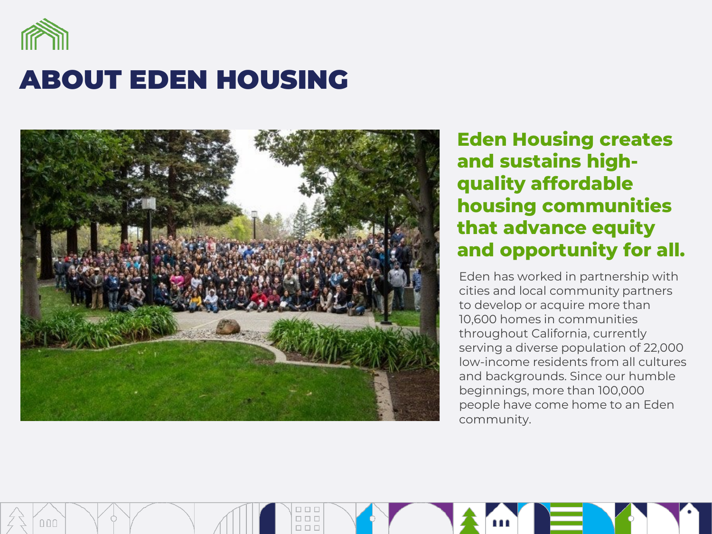

## ABOUT EDEN HOUSING



0 O C **DOC DDD**</u>

**Eden Housing creates and sustains highquality affordable housing communities that advance equity and opportunity for all.**

Eden has worked in partnership with cities and local community partners to develop or acquire more than 10,600 homes in communities throughout California, currently serving a diverse population of 22,000 low-income residents from all cultures and backgrounds. Since our humble beginnings, more than 100,000 people have come home to an Eden community.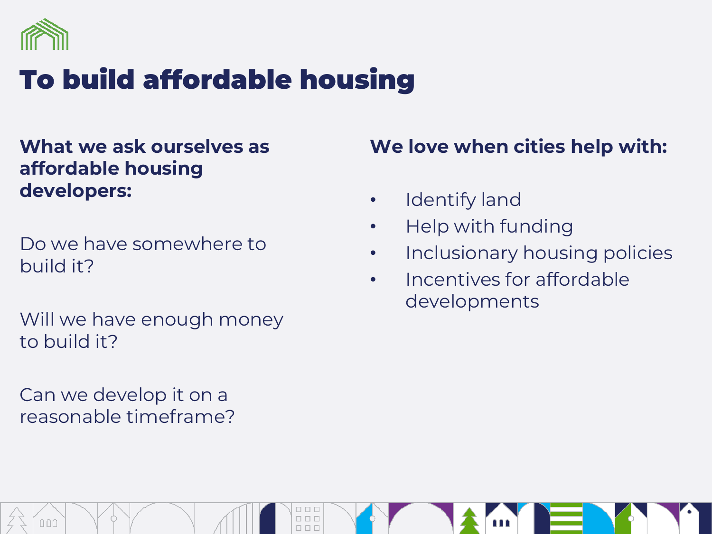

## To build affordable housing

#### **What we ask ourselves as affordable housing developers:**

Do we have somewhere to build it?

Will we have enough money to build it?

Can we develop it on a reasonable timeframe?

#### **We love when cities help with:**

- Identify land
- Help with funding
- Inclusionary housing policies
- Incentives for affordable developments

 $\Box\ \Box\ \Box$  $\overline{a}$  $000$  $\Box\;\Box\;\Box$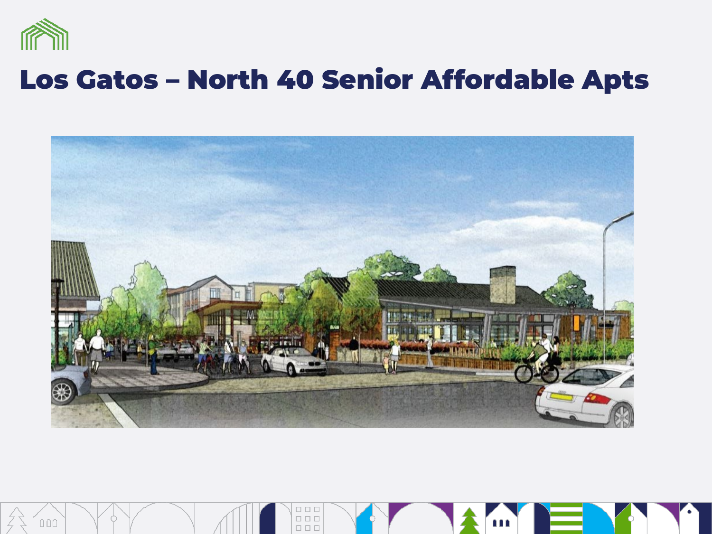

## Los Gatos – North 40 Senior Affordable Apts



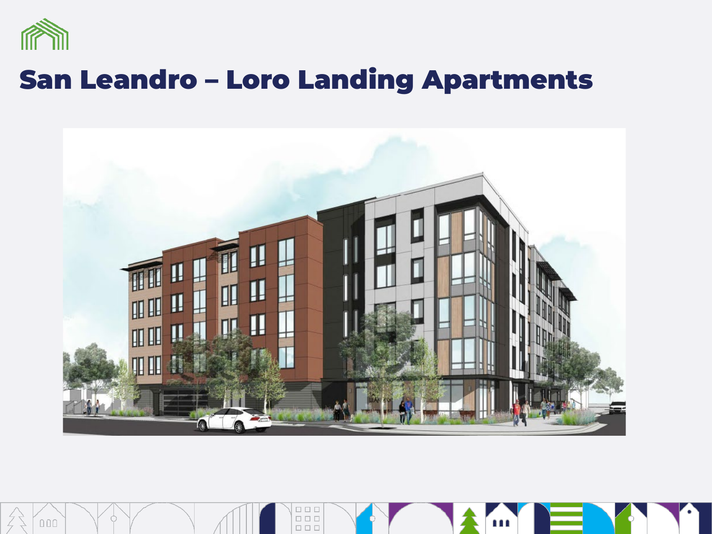

 $000$ 

### San Leandro – Loro Landing Apartments



 $\begin{tabular}{|c|c|} \hline\hline\quadrule{0pt}{2.5ex}\quad \ \ \, &\quad \ \ &\quad \ \ &\quad \ \ &\quad \ \ &\quad \ \ &\quad \ \ &\quad \ \ &\quad \ \ &\quad \ \ &\quad \ \ &\quad \ \ &\quad \ \ &\quad \ \ &\quad \ \ &\quad \ \ &\quad \ \ &\quad \ \ &\quad \ \ &\quad \ \ &\quad \ \ &\quad \ \ &\quad \ \ &\quad \ \ &\quad \ \ &\quad \ \ &\quad \ \ &$ 

...